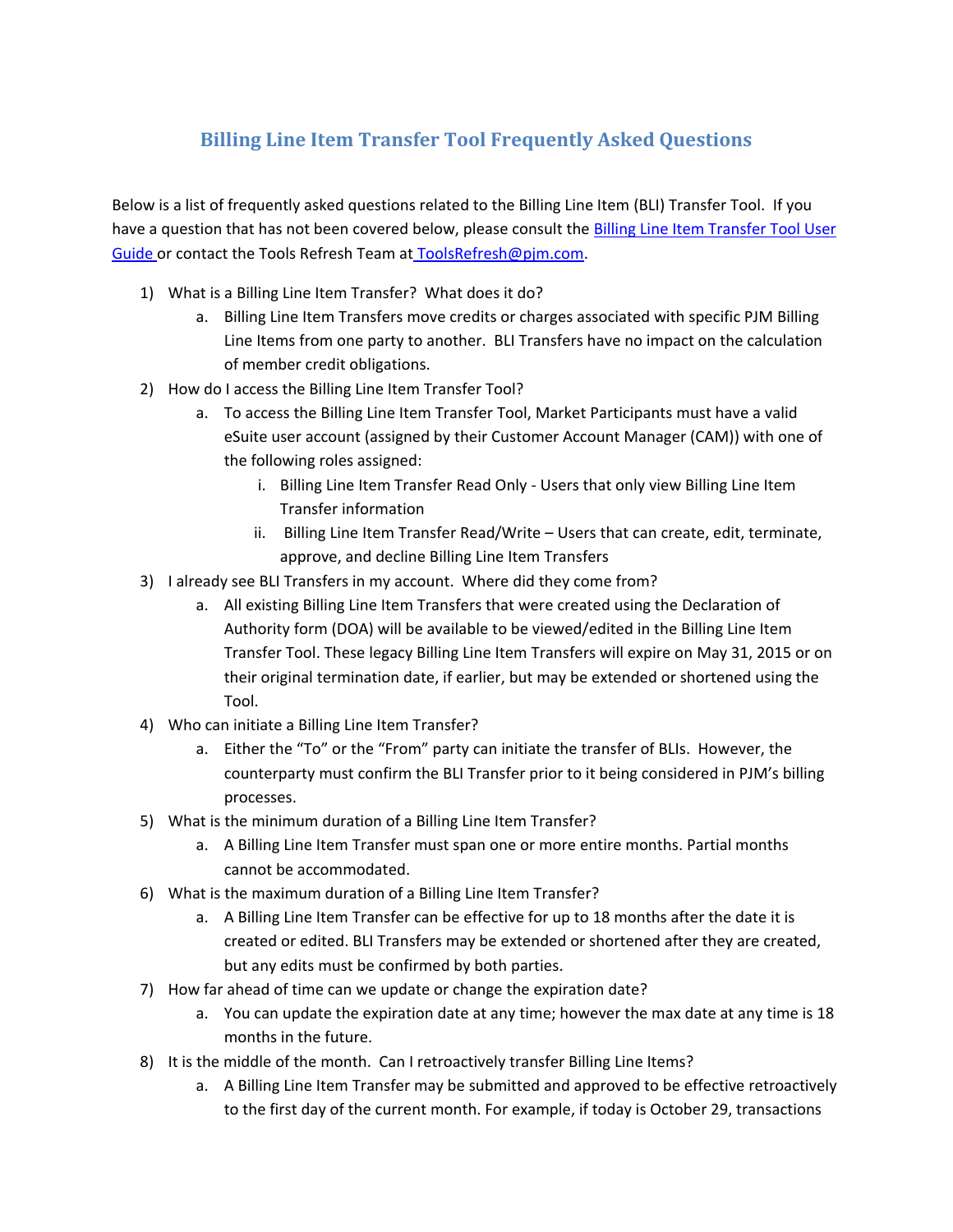## **Billing Line Item Transfer Tool Frequently Asked Questions**

Below is a list of frequently asked questions related to the Billing Line Item (BLI) Transfer Tool. If you have a question that has not been covered below, please consult th[e Billing Line Item Transfer Tool User](http://www.pjm.com/~/media/etools/billing-line-item-transfer-user-guide.ashx)  [Guide](http://www.pjm.com/~/media/etools/billing-line-item-transfer-user-guide.ashx) or contact the Tools Refresh Team at ToolsRefresh@pjm.com.

- 1) What is a Billing Line Item Transfer? What does it do?
	- a. Billing Line Item Transfers move credits or charges associated with specific PJM Billing Line Items from one party to another. BLI Transfers have no impact on the calculation of member credit obligations.
- 2) How do I access the Billing Line Item Transfer Tool?
	- a. To access the Billing Line Item Transfer Tool, Market Participants must have a valid eSuite user account (assigned by their Customer Account Manager (CAM)) with one of the following roles assigned:
		- i. Billing Line Item Transfer Read Only Users that only view Billing Line Item Transfer information
		- ii. Billing Line Item Transfer Read/Write Users that can create, edit, terminate, approve, and decline Billing Line Item Transfers
- 3) I already see BLI Transfers in my account. Where did they come from?
	- a. All existing Billing Line Item Transfers that were created using the Declaration of Authority form (DOA) will be available to be viewed/edited in the Billing Line Item Transfer Tool. These legacy Billing Line Item Transfers will expire on May 31, 2015 or on their original termination date, if earlier, but may be extended or shortened using the Tool.
- 4) Who can initiate a Billing Line Item Transfer?
	- a. Either the "To" or the "From" party can initiate the transfer of BLIs. However, the counterparty must confirm the BLI Transfer prior to it being considered in PJM's billing processes.
- 5) What is the minimum duration of a Billing Line Item Transfer?
	- a. A Billing Line Item Transfer must span one or more entire months. Partial months cannot be accommodated.
- 6) What is the maximum duration of a Billing Line Item Transfer?
	- a. A Billing Line Item Transfer can be effective for up to 18 months after the date it is created or edited. BLI Transfers may be extended or shortened after they are created, but any edits must be confirmed by both parties.
- 7) How far ahead of time can we update or change the expiration date?
	- a. You can update the expiration date at any time; however the max date at any time is 18 months in the future.
- 8) It is the middle of the month. Can I retroactively transfer Billing Line Items?
	- a. A Billing Line Item Transfer may be submitted and approved to be effective retroactively to the first day of the current month. For example, if today is October 29, transactions